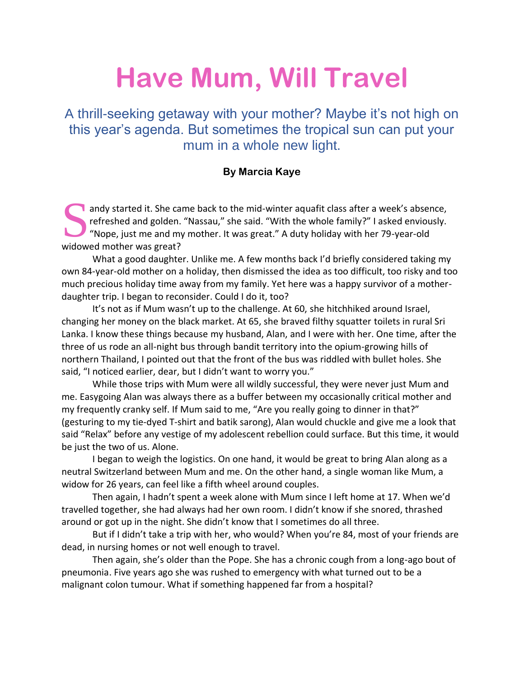## **Have Mum, Will Travel**

A thrill-seeking getaway with your mother? Maybe it's not high on this year's agenda. But sometimes the tropical sun can put your mum in a whole new light.

## **By Marcia Kaye**

andy started it. She came back to the mid-winter aquafit class after a week's absence, refreshed and golden. "Nassau," she said. "With the whole family?" I asked enviously. "Nope, just me and my mother. It was great." A duty holiday with her 79-year-old andy started it. She carefreshed and golden.<br>
"Nope, just me and m<br>
widowed mother was great?

What a good daughter. Unlike me. A few months back I'd briefly considered taking my own 84-year-old mother on a holiday, then dismissed the idea as too difficult, too risky and too much precious holiday time away from my family. Yet here was a happy survivor of a motherdaughter trip. I began to reconsider. Could I do it, too?

It's not as if Mum wasn't up to the challenge. At 60, she hitchhiked around Israel, changing her money on the black market. At 65, she braved filthy squatter toilets in rural Sri Lanka. I know these things because my husband, Alan, and I were with her. One time, after the three of us rode an all-night bus through bandit territory into the opium-growing hills of northern Thailand, I pointed out that the front of the bus was riddled with bullet holes. She said, "I noticed earlier, dear, but I didn't want to worry you."

While those trips with Mum were all wildly successful, they were never just Mum and me. Easygoing Alan was always there as a buffer between my occasionally critical mother and my frequently cranky self. If Mum said to me, "Are you really going to dinner in that?" (gesturing to my tie-dyed T-shirt and batik sarong), Alan would chuckle and give me a look that said "Relax" before any vestige of my adolescent rebellion could surface. But this time, it would be just the two of us. Alone.

I began to weigh the logistics. On one hand, it would be great to bring Alan along as a neutral Switzerland between Mum and me. On the other hand, a single woman like Mum, a widow for 26 years, can feel like a fifth wheel around couples.

Then again, I hadn't spent a week alone with Mum since I left home at 17. When we'd travelled together, she had always had her own room. I didn't know if she snored, thrashed around or got up in the night. She didn't know that I sometimes do all three.

But if I didn't take a trip with her, who would? When you're 84, most of your friends are dead, in nursing homes or not well enough to travel.

Then again, she's older than the Pope. She has a chronic cough from a long-ago bout of pneumonia. Five years ago she was rushed to emergency with what turned out to be a malignant colon tumour. What if something happened far from a hospital?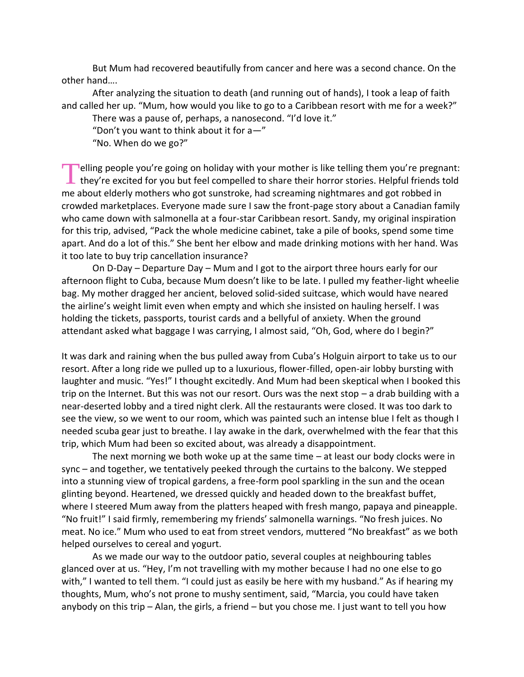But Mum had recovered beautifully from cancer and here was a second chance. On the other hand….

After analyzing the situation to death (and running out of hands), I took a leap of faith and called her up. "Mum, how would you like to go to a Caribbean resort with me for a week?"

There was a pause of, perhaps, a nanosecond. "I'd love it."

"Don't you want to think about it for  $a -$ "

"No. When do we go?"

**T**elling people you're going on holiday with your mother is like telling them you're pregnant:<br>they're excited for you but feel compelled to share their horror stories. Helpful friends told **L** they're excited for you but feel compelled to share their horror stories. Helpful friends told me about elderly mothers who got sunstroke, had screaming nightmares and got robbed in crowded marketplaces. Everyone made sure I saw the front-page story about a Canadian family who came down with salmonella at a four-star Caribbean resort. Sandy, my original inspiration for this trip, advised, "Pack the whole medicine cabinet, take a pile of books, spend some time apart. And do a lot of this." She bent her elbow and made drinking motions with her hand. Was it too late to buy trip cancellation insurance?

On D-Day – Departure Day – Mum and I got to the airport three hours early for our afternoon flight to Cuba, because Mum doesn't like to be late. I pulled my feather-light wheelie bag. My mother dragged her ancient, beloved solid-sided suitcase, which would have neared the airline's weight limit even when empty and which she insisted on hauling herself. I was holding the tickets, passports, tourist cards and a bellyful of anxiety. When the ground attendant asked what baggage I was carrying, I almost said, "Oh, God, where do I begin?"

It was dark and raining when the bus pulled away from Cuba's Holguin airport to take us to our resort. After a long ride we pulled up to a luxurious, flower-filled, open-air lobby bursting with laughter and music. "Yes!" I thought excitedly. And Mum had been skeptical when I booked this trip on the Internet. But this was not our resort. Ours was the next stop – a drab building with a near-deserted lobby and a tired night clerk. All the restaurants were closed. It was too dark to see the view, so we went to our room, which was painted such an intense blue I felt as though I needed scuba gear just to breathe. I lay awake in the dark, overwhelmed with the fear that this trip, which Mum had been so excited about, was already a disappointment.

The next morning we both woke up at the same time  $-$  at least our body clocks were in sync – and together, we tentatively peeked through the curtains to the balcony. We stepped into a stunning view of tropical gardens, a free-form pool sparkling in the sun and the ocean glinting beyond. Heartened, we dressed quickly and headed down to the breakfast buffet, where I steered Mum away from the platters heaped with fresh mango, papaya and pineapple. "No fruit!" I said firmly, remembering my friends' salmonella warnings. "No fresh juices. No meat. No ice." Mum who used to eat from street vendors, muttered "No breakfast" as we both helped ourselves to cereal and yogurt.

As we made our way to the outdoor patio, several couples at neighbouring tables glanced over at us. "Hey, I'm not travelling with my mother because I had no one else to go with," I wanted to tell them. "I could just as easily be here with my husband." As if hearing my thoughts, Mum, who's not prone to mushy sentiment, said, "Marcia, you could have taken anybody on this trip – Alan, the girls, a friend – but you chose me. I just want to tell you how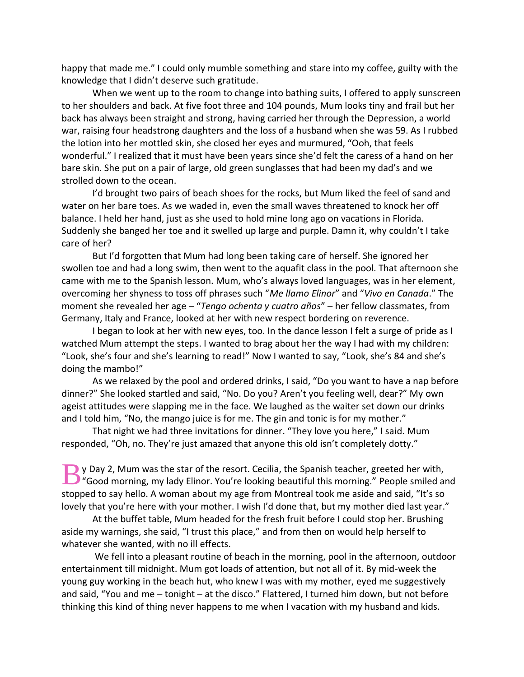happy that made me." I could only mumble something and stare into my coffee, guilty with the knowledge that I didn't deserve such gratitude.

When we went up to the room to change into bathing suits, I offered to apply sunscreen to her shoulders and back. At five foot three and 104 pounds, Mum looks tiny and frail but her back has always been straight and strong, having carried her through the Depression, a world war, raising four headstrong daughters and the loss of a husband when she was 59. As I rubbed the lotion into her mottled skin, she closed her eyes and murmured, "Ooh, that feels wonderful." I realized that it must have been years since she'd felt the caress of a hand on her bare skin. She put on a pair of large, old green sunglasses that had been my dad's and we strolled down to the ocean.

I'd brought two pairs of beach shoes for the rocks, but Mum liked the feel of sand and water on her bare toes. As we waded in, even the small waves threatened to knock her off balance. I held her hand, just as she used to hold mine long ago on vacations in Florida. Suddenly she banged her toe and it swelled up large and purple. Damn it, why couldn't I take care of her?

But I'd forgotten that Mum had long been taking care of herself. She ignored her swollen toe and had a long swim, then went to the aquafit class in the pool. That afternoon she came with me to the Spanish lesson. Mum, who's always loved languages, was in her element, overcoming her shyness to toss off phrases such "*Me llamo Elinor*" and "*Vivo en Canada*." The moment she revealed her age – "*Tengo ochenta y cuatro años*" – her fellow classmates, from Germany, Italy and France, looked at her with new respect bordering on reverence.

I began to look at her with new eyes, too. In the dance lesson I felt a surge of pride as I watched Mum attempt the steps. I wanted to brag about her the way I had with my children: "Look, she's four and she's learning to read!" Now I wanted to say, "Look, she's 84 and she's doing the mambo!"

As we relaxed by the pool and ordered drinks, I said, "Do you want to have a nap before dinner?" She looked startled and said, "No. Do you? Aren't you feeling well, dear?" My own ageist attitudes were slapping me in the face. We laughed as the waiter set down our drinks and I told him, "No, the mango juice is for me. The gin and tonic is for my mother."

That night we had three invitations for dinner. "They love you here," I said. Mum responded, "Oh, no. They're just amazed that anyone this old isn't completely dotty."

y Day 2, Mum was the star of the resort. Cecilia, the Spanish teacher, greeted her with, Y Day 2, Mum was the star of the resort. Cecilia, the Spanish teacher, greeted her with,<br>
"Good morning, my lady Elinor. You're looking beautiful this morning." People smiled and stopped to say hello. A woman about my age from Montreal took me aside and said, "It's so lovely that you're here with your mother. I wish I'd done that, but my mother died last year."

At the buffet table, Mum headed for the fresh fruit before I could stop her. Brushing aside my warnings, she said, "I trust this place," and from then on would help herself to whatever she wanted, with no ill effects.

We fell into a pleasant routine of beach in the morning, pool in the afternoon, outdoor entertainment till midnight. Mum got loads of attention, but not all of it. By mid-week the young guy working in the beach hut, who knew I was with my mother, eyed me suggestively and said, "You and me – tonight – at the disco." Flattered, I turned him down, but not before thinking this kind of thing never happens to me when I vacation with my husband and kids.